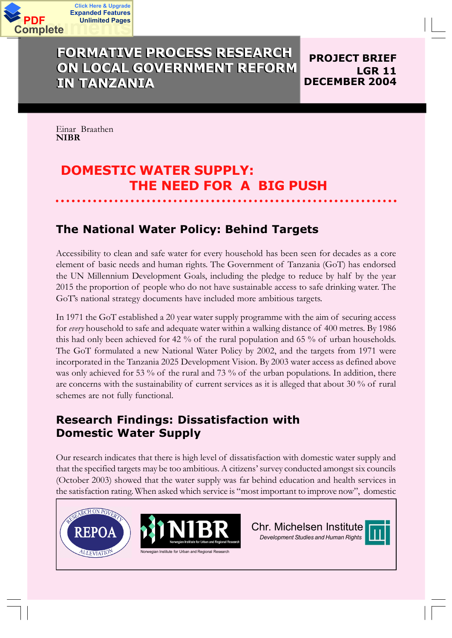

## **FORMATIVE PROCESS RESEARCH ON LOCAL GOVERNMENT REFORM IN TANZANIA**

**PROJECT BRIEF LGR 11 DECEMBER 2004**

Einar Braathen **NIBR**

**Click Here & Upgrade**

**Unlimited Pages**

# **DOMESTIC WATER SUPPLY: THE NEED FOR A BIG PUSH**

## **The National Water Policy: Behind Targets**

Accessibility to clean and safe water for every household has been seen for decades as a core element of basic needs and human rights. The Government of Tanzania (GoT) has endorsed the UN Millennium Development Goals, including the pledge to reduce by half by the year 2015 the proportion of people who do not have sustainable access to safe drinking water. The GoT's national strategy documents have included more ambitious targets.

In 1971 the GoT established a 20 year water supply programme with the aim of securing access for *every* household to safe and adequate water within a walking distance of 400 metres. By 1986 this had only been achieved for 42 % of the rural population and 65 % of urban households. The GoT formulated a new National Water Policy by 2002, and the targets from 1971 were incorporated in the Tanzania 2025 Development Vision. By 2003 water access as defined above was only achieved for 53 % of the rural and 73 % of the urban populations. In addition, there are concerns with the sustainability of current services as it is alleged that about 30 % of rural schemes are not fully functional.

## **Research Findings: Dissatisfaction with Domestic Water Supply**

Our research indicates that there is high level of dissatisfaction with domestic water supply and that the specified targets may be too ambitious. A citizens· survey conducted amongst six councils (October 2003) showed that the water supply was far behind education and health services in the satisfaction rating. When asked which service is "most important to improve now", domestic

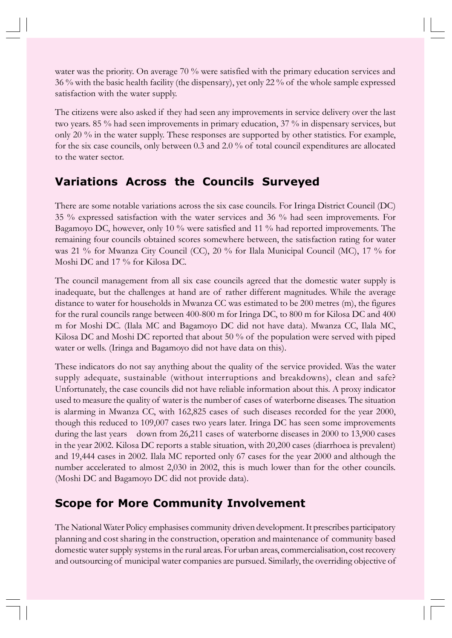water was the priority. On average 70 % were satisfied with the primary education services and 36 % with the basic health facility (the dispensary), yet only 22 % of the whole sample expressed satisfaction with the water supply.

The citizens were also asked if they had seen any improvements in service delivery over the last two years. 85 % had seen improvements in primary education, 37 % in dispensary services, but only 20 % in the water supply. These responses are supported by other statistics. For example, for the six case councils, only between 0.3 and 2.0 % of total council expenditures are allocated to the water sector.

#### **Variations Across the Councils Surveyed**

There are some notable variations across the six case councils. For Iringa District Council (DC) 35 % expressed satisfaction with the water services and 36 % had seen improvements. For Bagamoyo DC, however, only 10 % were satisfied and 11 % had reported improvements. The remaining four councils obtained scores somewhere between, the satisfaction rating for water was 21 % for Mwanza City Council (CC), 20 % for Ilala Municipal Council (MC), 17 % for Moshi DC and 17 % for Kilosa DC.

The council management from all six case councils agreed that the domestic water supply is inadequate, but the challenges at hand are of rather different magnitudes. While the average distance to water for households in Mwanza CC was estimated to be 200 metres (m), the figures for the rural councils range between 400-800 m for Iringa DC, to 800 m for Kilosa DC and 400 m for Moshi DC. (Ilala MC and Bagamoyo DC did not have data). Mwanza CC, Ilala MC, Kilosa DC and Moshi DC reported that about 50 % of the population were served with piped water or wells. (Iringa and Bagamoyo did not have data on this).

These indicators do not say anything about the quality of the service provided. Was the water supply adequate, sustainable (without interruptions and breakdowns), clean and safe? Unfortunately, the case councils did not have reliable information about this. A proxy indicator used to measure the quality of water is the number of cases of waterborne diseases. The situation is alarming in Mwanza CC, with 162,825 cases of such diseases recorded for the year 2000, though this reduced to 109,007 cases two years later. Iringa DC has seen some improvements during the last years down from 26,211 cases of waterborne diseases in 2000 to 13,900 cases in the year 2002. Kilosa DC reports a stable situation, with 20,200 cases (diarrhoea is prevalent) and 19,444 cases in 2002. Ilala MC reported only 67 cases for the year 2000 and although the number accelerated to almost 2,030 in 2002, this is much lower than for the other councils. (Moshi DC and Bagamoyo DC did not provide data).

### **Scope for More Community Involvement**

The National Water Policy emphasises community driven development.It prescribes participatory planning and cost sharing in the construction, operation and maintenance of community based domestic water supply systems in the rural areas. For urban areas, commercialisation, cost recovery and outsourcing of municipal water companies are pursued. Similarly, the overriding objective of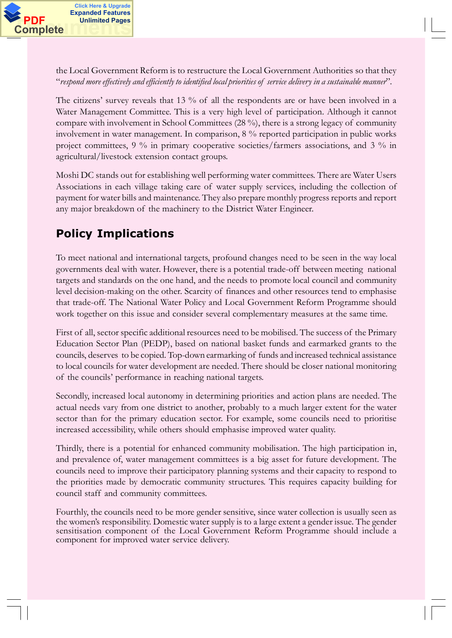the Local Government Reform is to restructure the Local Government Authorities so that they ´*respond more effectively and efficiently to identified local priorities of service delivery in a sustainable manner*µ.

The citizens' survey reveals that 13 % of all the respondents are or have been involved in a Water Management Committee. This is a very high level of participation. Although it cannot compare with involvement in School Committees (28 %), there is a strong legacy of community involvement in water management. In comparison, 8 % reported participation in public works project committees, 9 % in primary cooperative societies/farmers associations, and 3 % in agricultural/livestock extension contact groups.

Moshi DC stands out for establishing well performing water committees. There are Water Users Associations in each village taking care of water supply services, including the collection of payment for water bills and maintenance. They also prepare monthly progress reports and report any major breakdown of the machinery to the District Water Engineer.

# **Policy Implications**

To meet national and international targets, profound changes need to be seen in the way local governments deal with water. However, there is a potential trade-off between meeting national targets and standards on the one hand, and the needs to promote local council and community level decision-making on the other. Scarcity of finances and other resources tend to emphasise that trade-off. The National Water Policy and Local Government Reform Programme should work together on this issue and consider several complementary measures at the same time.

First of all, sector specific additional resources need to be mobilised. The success of the Primary Education Sector Plan (PEDP), based on national basket funds and earmarked grants to the councils, deserves to be copied. Top-down earmarking of funds and increased technical assistance to local councils for water development are needed. There should be closer national monitoring of the councils· performance in reaching national targets.

Secondly, increased local autonomy in determining priorities and action plans are needed. The actual needs vary from one district to another, probably to a much larger extent for the water sector than for the primary education sector. For example, some councils need to prioritise increased accessibility, while others should emphasise improved water quality.

Thirdly, there is a potential for enhanced community mobilisation. The high participation in, and prevalence of, water management committees is a big asset for future development. The councils need to improve their participatory planning systems and their capacity to respond to the priorities made by democratic community structures. This requires capacity building for council staff and community committees.

Fourthly, the councils need to be more gender sensitive, since water collection is usually seen as the women's responsibility. Domestic water supply is to a large extent a gender issue. The gender sensitisation component of the Local Government Reform Programme should include a component for improved water service delivery.